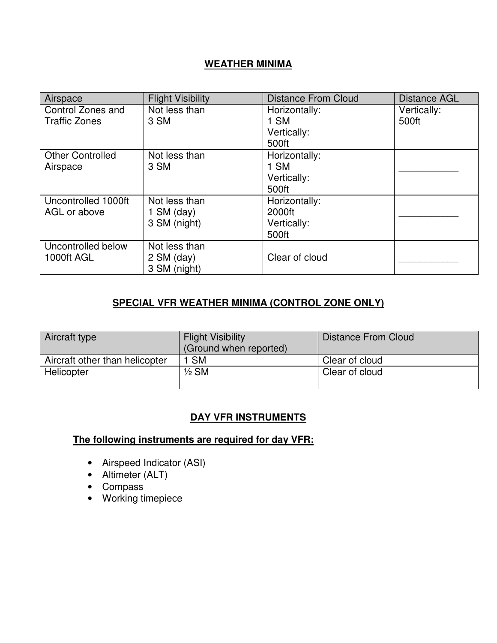### **WEATHER MINIMA**

| Airspace                | <b>Flight Visibility</b> | <b>Distance From Cloud</b> | <b>Distance AGL</b> |
|-------------------------|--------------------------|----------------------------|---------------------|
| Control Zones and       | Not less than            | Horizontally:              | Vertically:         |
| <b>Traffic Zones</b>    | 3 SM                     | 1 SM                       | 500ft               |
|                         |                          | Vertically:                |                     |
|                         |                          | 500ft                      |                     |
| <b>Other Controlled</b> | Not less than            | Horizontally:              |                     |
| Airspace                | 3 SM                     | 1 SM                       |                     |
|                         |                          | Vertically:                |                     |
|                         |                          | 500ft                      |                     |
| Uncontrolled 1000ft     | Not less than            | Horizontally:              |                     |
| AGL or above            | 1 SM $\frac{day}{ }$     | 2000ft                     |                     |
|                         | 3 SM (night)             | Vertically:                |                     |
|                         |                          | 500ft                      |                     |
| Uncontrolled below      | Not less than            |                            |                     |
| 1000ft AGL              | $2$ SM (day)             | Clear of cloud             |                     |
|                         | 3 SM (night)             |                            |                     |

#### **SPECIAL VFR WEATHER MINIMA (CONTROL ZONE ONLY)**

| Aircraft type                  | <b>Flight Visibility</b><br>(Ground when reported) | <b>Distance From Cloud</b> |
|--------------------------------|----------------------------------------------------|----------------------------|
| Aircraft other than helicopter | <b>SM</b>                                          | Clear of cloud             |
| Helicopter                     | $1/2$ SM                                           | Clear of cloud             |

### **DAY VFR INSTRUMENTS**

**The following instruments are required for day VFR:**

- Airspeed Indicator (ASI)
- Altimeter (ALT)
- Compass
- Working timepiece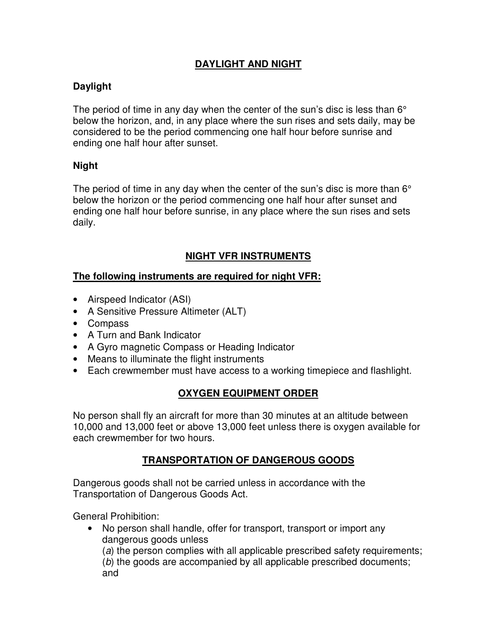## **DAYLIGHT AND NIGHT**

# **Daylight**

The period of time in any day when the center of the sun's disc is less than  $6^{\circ}$ below the horizon, and, in any place where the sun rises and sets daily, may be considered to be the period commencing one half hour before sunrise and ending one half hour after sunset.

### **Night**

The period of time in any day when the center of the sun's disc is more than  $6^{\circ}$ below the horizon or the period commencing one half hour after sunset and ending one half hour before sunrise, in any place where the sun rises and sets daily.

## **NIGHT VFR INSTRUMENTS**

#### **The following instruments are required for night VFR:**

- Airspeed Indicator (ASI)
- A Sensitive Pressure Altimeter (ALT)
- Compass
- A Turn and Bank Indicator
- A Gyro magnetic Compass or Heading Indicator
- Means to illuminate the flight instruments
- Each crewmember must have access to a working timepiece and flashlight.

## **OXYGEN EQUIPMENT ORDER**

No person shall fly an aircraft for more than 30 minutes at an altitude between 10,000 and 13,000 feet or above 13,000 feet unless there is oxygen available for each crewmember for two hours.

## **TRANSPORTATION OF DANGEROUS GOODS**

Dangerous goods shall not be carried unless in accordance with the Transportation of Dangerous Goods Act.

General Prohibition:

• No person shall handle, offer for transport, transport or import any dangerous goods unless (a) the person complies with all applicable prescribed safety requirements;

(b) the goods are accompanied by all applicable prescribed documents; and